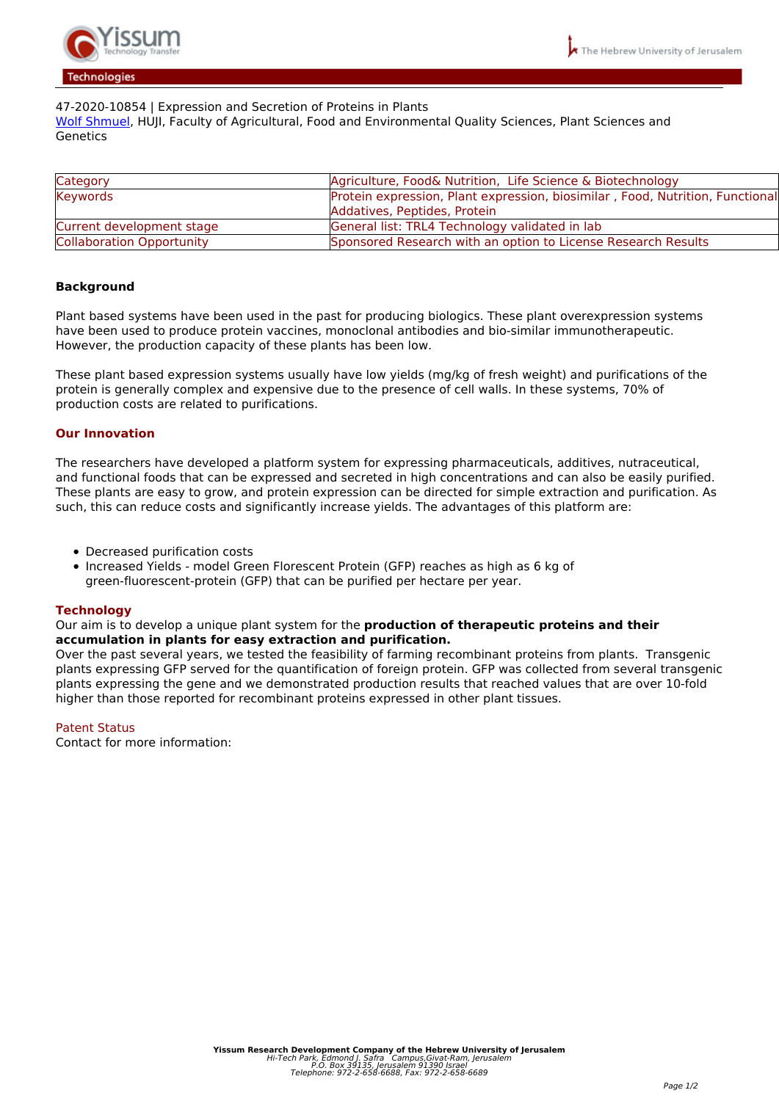

# *47-2020-10854 | Expression and Secretion of Proteins in Plants*

*[Wolf Shmuel](http://departments.agri.huji.ac.il/botany/people/Shmuel_Wolf/), HUJI, Faculty of Agricultural, Food and Environmental Quality Sciences, Plant Sciences and Genetics*

| Category                  | Agriculture, Food& Nutrition, Life Science & Biotechnology                    |
|---------------------------|-------------------------------------------------------------------------------|
| Keywords                  | Protein expression, Plant expression, biosimilar, Food, Nutrition, Functional |
|                           | Addatives, Peptides, Protein                                                  |
| Current development stage | General list: TRL4 Technology validated in lab                                |
| Collaboration Opportunity | Sponsored Research with an option to License Research Results                 |

## **Background**

*Plant based systems have been used in the past for producing biologics. These plant overexpression systems have been used to produce protein vaccines, monoclonal antibodies and bio-similar immunotherapeutic. However, the production capacity of these plants has been low.* 

*These plant based expression systems usually have low yields (mg/kg of fresh weight) and purifications of the protein is generally complex and expensive due to the presence of cell walls. In these systems, 70% of production costs are related to purifications.* 

## **Our Innovation**

*The researchers have developed a platform system for expressing pharmaceuticals, additives, nutraceutical, and functional foods that can be expressed and secreted in high concentrations and can also be easily purified. These plants are easy to grow, and protein expression can be directed for simple extraction and purification. As such, this can reduce costs and significantly increase yields. The advantages of this platform are:* 

- *Decreased purification costs*
- *Increased Yields model Green Florescent Protein (GFP) reaches as high as 6 kg of green-fluorescent-protein (GFP) that can be purified per hectare per year.*

### **Technology**

*Our aim is to develop a unique plant system for the* **production of therapeutic proteins and their accumulation in plants for easy extraction and purification.**

*Over the past several years, we tested the feasibility of farming recombinant proteins from plants. Transgenic plants expressing GFP served for the quantification of foreign protein. GFP was collected from several transgenic plants expressing the gene and we demonstrated production results that reached values that are over 10-fold higher than those reported for recombinant proteins expressed in other plant tissues.*

### *Patent Status*

*Contact for more information:*